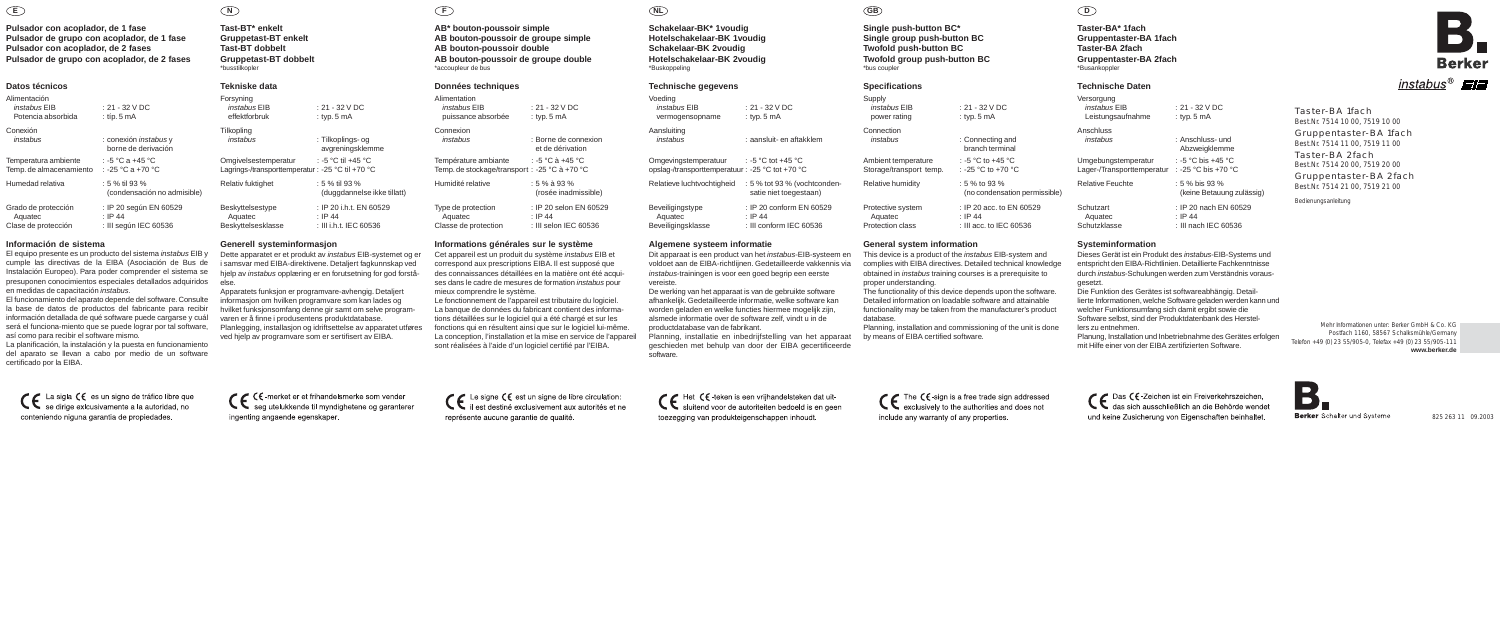**Taster-BA\* 1fach Gruppentaster-BA 1fach Taster-BA 2fach Gruppentaster-BA 2fach** \*Busankoppler

# **Technische Daten**

| Versorgung<br>instabus FIB<br>Leistungsaufnahme | $\cdot$ 21 - 32 V DC<br>: typ. $5 \text{ mA}$    |
|-------------------------------------------------|--------------------------------------------------|
| Anschluss                                       | · Anschluss- und                                 |
| instabus                                        | Abzweigklemme                                    |
| Umgebungstemperatur                             | : -5 °C bis +45 °C                               |
| Lager-/Transporttemperatur                      | : -25 °C bis +70 °C                              |
| Relative Feuchte                                | $: 5\%$ bis 93 $\%$<br>(keine Betauung zulässig) |
| Schutzart                                       | : IP 20 nach EN 60529                            |
| Aquatec                                         | $\cdot$ IP 44                                    |
| Schutzklasse                                    | : III nach IEC 60536                             |

**Systeminformation**

Dieses Gerät ist ein Produkt des instabus-EIB-Systems und entspricht den EIBA-Richtlinien. Detaillierte Fachkenntnisse durch instabus-Schulungen werden zum Verständnis voraus-

gesetzt.

% to 93 % (no condensation permissible)

P 20 acc. to EN 60529 ection class : III acc. to IEC 60536

> Die Funktion des Gerätes ist softwareabhängig. Detaillierte Informationen, welche Software geladen werden kann und welcher Funktionsumfang sich damit ergibt sowie die Software selbst, sind der Produktdatenbank des Herstel-

# instabus<sup>®</sup>

This device is a product of the *instabus* EIB-system and complies with EIBA directives. Detailed technical knowledge obtained in instabus training courses is a prerequisite to

lers zu entnehmen.

Planung, Installation und Inbetriebnahme des Gerätes erfolgen mit Hilfe einer von der EIBA zertifizierten Software.

# **D**

**Single push-button BC\* Single group push-button BC Twofold push-button BC Twofold group push-button BC** \*bus coupler

### **Specifications**

| Supply<br>instabus EIB<br>power rating | $: 21 - 3$<br>: typ. 5 |
|----------------------------------------|------------------------|
| Connection                             | : Conn                 |
| instabus                               | brand                  |
| Ambient temperature                    | : -5 °C                |
| Storage/transport temp.                | : -25 °।               |
| Relative humidity                      | : 5 % t<br>(no co      |
| Protective system                      | $:$ IP 20              |
| Aquatec                                | : IP 44                |

## **General system information**

proper understanding.

The functionality of this device depends upon the software. Detailed information on loadable software and attainable functionality may be taken from the manufacturer's product

database.

 $-32$  V DC  $p.5<sub>mA</sub>$ 

onnecting and ranch terminal  $\degree$ C to +45  $\degree$ C to +45  $\degree$ C to +45  $\degree$ C to +45  $\degree$ C to +45  $\degree$ C to +45  $\degree$ C to +45  $\degree$ C to +45  $\degree$ C to +45  $\degree$ C to +45  $\degree$ C to +45  $\degree$ C to +45  $\degree$ C to +45  $\degree$ C to +45  $\degree$ C to +45  $\degree$ C to +45  $\degree$ C to +45 25 °C to +70 °C

Planning, installation and commissioning of the unit is done by means of EIBA certified software.

**Schakelaar-BK\* 1voudig Hotelschakelaar-BK 1voudig Schakelaar-BK 2voudig Hotelschakelaar-BK 2voudig** \*Buskoppeling

#### **Technische gegevens**

| Voedina<br>instabus EIB<br>vermogensopname                              | : 21 - 32 V DC<br>: typ. $5 \text{ mA}$                        | Supp<br>ins<br>DO <sub>1</sub> |
|-------------------------------------------------------------------------|----------------------------------------------------------------|--------------------------------|
| Aansluiting<br>instabus                                                 | : aansluit- en aftakklem                                       | Conn<br>ins                    |
| Omgevingstemperatuur<br>opslag-/transporttemperatuur: -25 °C tot +70 °C | : -5 $^{\circ}$ C tot +45 $^{\circ}$ C                         | Ambi<br>Stora                  |
| Relatieve luchtvochtigheid                                              | : 5 % tot 93 % (vochtconden-<br>satie niet toegestaan)         | Relat                          |
| Beveiligingstype<br>Aquatec<br>Beveiligingsklasse                       | : IP 20 conform EN 60529<br>: IP 44<br>: III conform IEC 60536 | Prote<br>Aq<br>Prote           |

#### **Algemene systeem informatie**

Dit apparaat is een product van het instabus-EIB-systeem en voldoet aan de EIBA-richtlijnen. Gedetailleerde vakkennis via instabus-trainingen is voor een goed begrip een eerste vereiste.

De werking van het apparaat is van de gebruikte software afhankelijk. Gedetailleerde informatie, welke software kan worden geladen en welke functies hiermee mogelijk zijn, alsmede informatie over de software zelf, vindt u in de productdatabase van de fabrikant.

Planning, installatie en inbedrijfstelling van het apparaat geschieden met behulp van door der EIBA gecertificeerde software.

CE Het CE-teken is een vrijhandelsteken dat uit-<br>sluitend voor de autoriteiten bedoeld is en geen toezegging van produkteigenschappen inhoudt.

# CE The CE-sign is a free trade sign addressed<br>exclusively to the authorities and does not include any warranty of any properties.

**AB bouton-poussoir de groupe simple AB bouton-poussoir double AB bouton-poussoir de groupe double** \*accoupleur de bus

## **Données techniques**

| Alimentation<br><i>instabus</i> FIR<br>puissance absorbée             | · 21 − 32 V DC<br>: typ. $5 \text{ mA}$                          |
|-----------------------------------------------------------------------|------------------------------------------------------------------|
| Connexion<br>instabus                                                 | · Borne de connexion<br>et de dérivation                         |
| Température ambiante<br>Temp. de stockage/transport : -25 °C à +70 °C | : -5 °C à +45 °C                                                 |
| Humidité relative                                                     | $: 5 \%$ à 93 %<br>(rosée inadmissible)                          |
| Type de protection<br>Aquatec<br>Classe de protection                 | : IP 20 selon EN 60529<br>$\cdot$ IP 44<br>: III selon IEC 60536 |

### **Informations générales sur le système**

Cet appareil est un produit du système instabus EIB et correspond aux prescriptions EIBA. Il est supposé que des connaissances détaillées en la matière ont été acquises dans le cadre de mesures de formation *instabus* pour mieux comprendre le système.

Le fonctionnement de l'appareil est tributaire du logiciel. La banque de données du fabricant contient des informations détaillées sur le logiciel qui a été chargé et sur les fonctions qui en résultent ainsi que sur le logiciel lui-même. La conception, l'installation et la mise en service de l'appareil sont réalisées à l'aide d'un logiciel certifié par l'EIBA.

CC Le signe CC est un signe de libre circulation:<br>il est destiné exclusivement aux autorités et ne

représente aucune garantie de qualité.

# **AB\* bouton-poussoir simple N F NL GB**

**Tast-BT\* enkelt Gruppetast-BT enkelt Tast-BT dobbelt Gruppetast-BT dobbelt** \*busstilkopler

## **Tekniske data**

| : typ. $5 \text{ mA}$                                                  |
|------------------------------------------------------------------------|
| : Tilkoplings- og<br>avgreningsklemme                                  |
| : -5 °C til +45 °C<br>Lagrings-/transporttemperatur: -25 °C til +70 °C |
| $: 5 \%$ til 93 %<br>(duggdannelse ikke tillatt)                       |
| : IP 20 i.h.t. EN 60529<br>$\cdot$ IP 44<br>: III i.h.t. IEC 60536     |
|                                                                        |

## **Generell systeminformasjon**

Dette apparatet er et produkt av instabus EIB-systemet og er i samsvar med EIBA-direktivene. Detaljert fagkunnskap ved hjelp av instabus opplæring er en forutsetning for god forståelse.

Apparatets funksjon er programvare-avhengig. Detaljert informasjon om hvilken programvare som kan lades og hvilket funksjonsomfang denne gir samt om selve programvaren er å finne i produsentens produktdatabase. Planlegging, installasjon og idriftsettelse av apparatet utføres ved hjelp av programvare som er sertifisert av EIBA.

CC << - merket er et frihandelsmerke som vender<br>CC seg utelukkende til myndighetene og garanterer ingenting angaende egenskaper.

# Taster-BA 1fach

Best.Nr. 7514 10 00, 7519 10 00

Gruppentaster-BA 1fach Best.Nr. 7514 11 00, 7519 11 00

Taster-BA 2fach Best.Nr. 7514 20 00, 7519 20 00

Gruppentaster-BA 2fach Best.Nr. 7514 21 00, 7519 21 00

Bedienungsanleitung

825 263 11 09.2003



Mehr Informationen unter: Berker GmbH & Co. KG Postfach 1160, 58567 Schalksmühle/Germany Telefon +49 (0) 23 55/905-0, Telefax +49 (0) 23 55/905-111 **www.berker.de**

CC Das CC-Zeichen ist ein Freiverkehrszeichen,<br>das sich ausschließlich an die Behörde wendet und keine Zusicherung von Eigenschaften beinhaltet.

 $\blacksquare$ D. Berker Schalter und Systeme

# **Pulsador con acoplador, de 1 fase Pulsador de grupo con acoplador, de 1 fase Pulsador con acoplador, de 2 fases Pulsador de grupo con acoplador, de 2 fases**

#### **Datos técnicos**

| Alimentación<br>instabus EIB<br>Potencia absorbida | : 21 - 32 V DC<br>$:$ típ. 5 mA               |
|----------------------------------------------------|-----------------------------------------------|
| Conexión                                           | : conexión <i>instabus</i> y                  |
| instabus                                           | borne de derivación                           |
| Temperatura ambiente                               | : -5 °C a +45 °C                              |
| Temp. de almacenamiento                            | : -25 °C a +70 °C                             |
| Humedad relativa                                   | : 5 % til 93 %<br>(condensación no admisible) |
| Grado de protección                                | : IP 20 según EN 60529                        |
| Aquatec                                            | $:$ IP 44                                     |
| Clase de protección                                | : III según IEC 60536                         |

#### **Información de sistema**

El equipo presente es un producto del sistema instabus EIB y cumple las directivas de la EIBA (Asociación de Bus de Instalación Europeo). Para poder comprender el sistema se presuponen conocimientos especiales detallados adquiridos en medidas de capacitación instabus.

El funcionamiento del aparato depende del software. Consulte la base de datos de productos del fabricante para recibir información detallada de qué software puede cargarse y cuál será el funciona-miento que se puede lograr por tal software, así como para recibir el software mismo.

La planificación, la instalación y la puesta en funcionamiento del aparato se llevan a cabo por medio de un software certificado por la EIBA.

C E La sigla CE es un signo de tráfico libre que<br>se dirige exicusivamente a la autoridad, no conteniendo niguna garantia de propiedades.

**E**